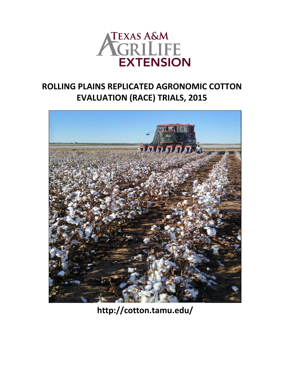

# **ROLLING PLAINS REPLICATED AGRONOMIC COTTON EVALUATION (RACE) TRIALS, 2015**



**http://cotton.tamu.edu/**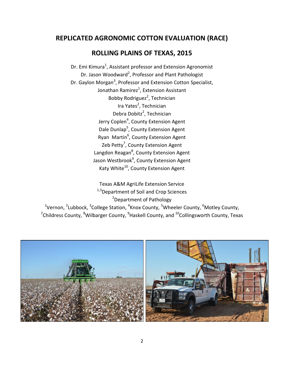# **REPLICATED AGRONOMIC COTTON EVALUATION (RACE)**

# **ROLLING PLAINS OF TEXAS, 2015**

Dr. Emi Kimura<sup>1</sup>, Assistant professor and Extension Agronomist Dr. Jason Woodward<sup>2</sup>, Professor and Plant Pathologist Dr. Gaylon Morgan<sup>3</sup>, Professor and Extension Cotton Specialist, Jonathan Ramirez $^1$ , Extension Assistant Bobby Rodriguez<sup>2</sup>, Technician Ira Yates<sup>2</sup>, Technician Debra Dobitz<sup>2</sup>, Technician Jerry Coplen<sup>4</sup>, County Extension Agent Dale Dunlap<sup>5</sup>, County Extension Agent Ryan Martin<sup>6</sup>, County Extension Agent Zeb Petty<sup>7</sup>, County Extension Agent Langdon Reagan<sup>8</sup>, County Extension Agent Jason Westbrook<sup>9</sup>, County Extension Agent Katy White<sup>10</sup>, County Extension Agent

Texas A&M AgriLife Extension Service <sup>1,3</sup>Department of Soil and Crop Sciences <sup>2</sup>Department of Pathology <sup>1</sup>Vernon, <sup>2</sup>Lubbock, <sup>3</sup>College Station, <sup>4</sup>Knox County, <sup>5</sup>Wheeler County, <sup>6</sup>Motley County,  $\mathrm{^{7}}$ Childress County,  $\mathrm{^{8}}$ Wilbarger County,  $\mathrm{^{9}}$ Haskell County, and  $\mathrm{^{10}}$ Collingsworth County, Texas

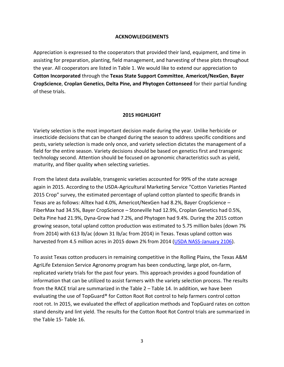#### **ACKNOWLEDGEMENTS**

Appreciation is expressed to the cooperators that provided their land, equipment, and time in assisting for preparation, planting, field management, and harvesting of these plots throughout the year. All cooperators are listed in Table 1. We would like to extend our appreciation to **Cotton Incorporated** through the **Texas State Support Committee**, **Americot/NexGen**, **Bayer CropScience**, **Croplan Genetics, Delta Pine, and Phytogen Cottonseed** for their partial funding of these trials.

#### **2015 HIGHLIGHT**

Variety selection is the most important decision made during the year. Unlike herbicide or insecticide decisions that can be changed during the season to address specific conditions and pests, variety selection is made only once, and variety selection dictates the management of a field for the entire season. Variety decisions should be based on genetics first and transgenic technology second. Attention should be focused on agronomic characteristics such as yield, maturity, and fiber quality when selecting varieties.

From the latest data available, transgenic varieties accounted for 99% of the state acreage again in 2015. According to the USDA-Agricultural Marketing Service "Cotton Varieties Planted 2015 Crop" survey, the estimated percentage of upland cotton planted to specific Brands in Texas are as follows: Alltex had 4.0%, Americot/NexGen had 8.2%, Bayer CropScience – FiberMax had 34.5%, Bayer CropScience – Stoneville had 12.9%, Croplan Genetics had 0.5%, Delta Pine had 21.9%, Dyna-Grow had 7.2%, and Phytogen had 9.4%. During the 2015 cotton growing season, total upland cotton production was estimated to 5.75 million bales (down 7% from 2014) with 613 lb/ac (down 31 lb/ac from 2014) in Texas. Texas upland cotton was harvested from 4.5 million acres in 2015 down 2% from 2014 [\(USDA NASS-January 2106\)](http://www.nass.usda.gov/Statistics_by_State/Texas/Publications/Current_News_Release/2016_Rls/spr_ann_crop_prod_2016.pdf).

To assist Texas cotton producers in remaining competitive in the Rolling Plains, the Texas A&M AgriLife Extension Service Agronomy program has been conducting, large plot, on-farm, replicated variety trials for the past four years. This approach provides a good foundation of information that can be utilized to assist farmers with the variety selection process. The results from the RACE trial are summarized in the Table 2 – Table 14. In addition, we have been evaluating the use of TopGuard® for Cotton Root Rot control to help farmers control cotton root rot. In 2015, we evaluated the effect of application methods and TopGuard rates on cotton stand density and lint yield. The results for the Cotton Root Rot Control trials are summarized in the Table 15- Table 16.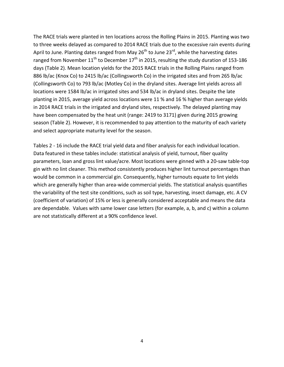The RACE trials were planted in ten locations across the Rolling Plains in 2015. Planting was two to three weeks delayed as compared to 2014 RACE trials due to the excessive rain events during April to June. Planting dates ranged from May  $26<sup>th</sup>$  to June  $23<sup>rd</sup>$ , while the harvesting dates ranged from November  $11^{th}$  to December  $17^{th}$  in 2015, resulting the study duration of 153-186 days (Table 2). Mean location yields for the 2015 RACE trials in the Rolling Plains ranged from 886 lb/ac (Knox Co) to 2415 lb/ac (Collingsworth Co) in the irrigated sites and from 265 lb/ac (Collingsworth Co) to 793 lb/ac (Motley Co) in the dryland sites. Average lint yields across all locations were 1584 lb/ac in irrigated sites and 534 lb/ac in dryland sites. Despite the late planting in 2015, average yield across locations were 11 % and 16 % higher than average yields in 2014 RACE trials in the irrigated and dryland sites, respectively. The delayed planting may have been compensated by the heat unit (range: 2419 to 3171) given during 2015 growing season (Table 2). However, it is recommended to pay attention to the maturity of each variety and select appropriate maturity level for the season.

Tables 2 - 16 include the RACE trial yield data and fiber analysis for each individual location. Data featured in these tables include: statistical analysis of yield, turnout, fiber quality parameters, loan and gross lint value/acre. Most locations were ginned with a 20-saw table-top gin with no lint cleaner. This method consistently produces higher lint turnout percentages than would be common in a commercial gin. Consequently, higher turnouts equate to lint yields which are generally higher than area-wide commercial yields. The statistical analysis quantifies the variability of the test site conditions, such as soil type, harvesting, insect damage, etc. A CV (coefficient of variation) of 15% or less is generally considered acceptable and means the data are dependable. Values with same lower case letters (for example, a, b, and c) within a column are not statistically different at a 90% confidence level.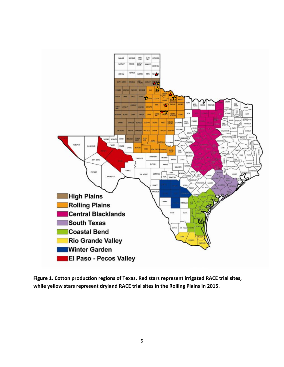

**Figure 1. Cotton production regions of Texas. Red stars represent irrigated RACE trial sites, while yellow stars represent dryland RACE trial sites in the Rolling Plains in 2015.**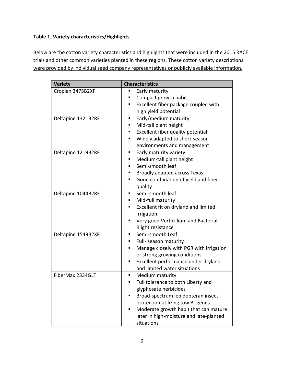#### **Table 1. Variety characteristics/Highlights**

Below are the cotton variety characteristics and highlights that were included in the 2015 RACE trials and other common varieties planted in these regions. These cotton variety descriptions were provided by individual seed company representatives or publicly available information.

| <b>Variety</b>     | <b>Characteristics</b>                       |
|--------------------|----------------------------------------------|
| Croplan 3475B2XF   | Early maturity<br>Ξ                          |
|                    | Compact growth habit                         |
|                    | Excellent fiber package coupled with         |
|                    | high yield potential                         |
| Deltapine 1321B2RF | Early/medium maturity<br>ш                   |
|                    | Mid-tall plant height<br>■                   |
|                    | Excellent fiber quality potential            |
|                    | Widely adapted to short-season               |
|                    | environments and management                  |
| Deltapine 1219B2RF | Early maturity variety<br>ш                  |
|                    | Medium-tall plant height                     |
|                    | Semi-smooth leaf                             |
|                    | Broadly adapted across Texas                 |
|                    | Good combination of yield and fiber          |
|                    | quality                                      |
| Deltapine 1044B2RF | Semi-smooth leaf                             |
|                    | Mid-full maturity                            |
|                    | Excellent fit on dryland and limited<br>■    |
|                    | irrigation                                   |
|                    | Very good Verticillium and Bacterial         |
|                    | <b>Blight resistance</b>                     |
| Deltapine 1549B2XF | Semi-smooth Leaf<br>٠                        |
|                    | Full- season maturity                        |
|                    | Manage closely with PGR with irrigation<br>ш |
|                    | or strong growing conditions                 |
|                    | Excellent performance under dryland<br>ш     |
|                    | and limited water situations                 |
| FiberMax 2334GLT   | Medium maturity                              |
|                    | Full tolerance to both Liberty and<br>٠      |
|                    | glyphosate herbicides                        |
|                    | Broad-spectrum lepidopteran insect           |
|                    | protection utilizing tow Bt genes            |
|                    | Moderate growth habit that can mature        |
|                    | later in high-moisture and late-planted      |
|                    | situations                                   |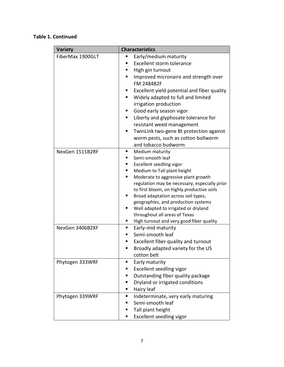## **Table 1. Continued**

| <b>Variety</b>   | <b>Characteristics</b>                                                                                                                                                                                                                                                                                                                                                                                                                                                                       |
|------------------|----------------------------------------------------------------------------------------------------------------------------------------------------------------------------------------------------------------------------------------------------------------------------------------------------------------------------------------------------------------------------------------------------------------------------------------------------------------------------------------------|
| FiberMax 1900GLT | Early/medium maturity<br>п<br>Excellent storm tolerance<br>High gin turnout<br>Improved micronaire and strength over<br>п<br>FM 2484B2F<br>Excellent yield potential and fiber quality<br>Widely adapted to full and limited<br>п<br>irrigation production<br>Good early season vigor<br>Liberty and glyphosate tolerance for<br>п<br>resistant weed management<br>TwinLink two-gene Bt protection against<br>п<br>worm pests, such as cotton bollworm                                       |
| NexGen 1511B2RF  | and tobacco budworm<br>Medium maturity<br>п<br>Semi-smooth leaf<br>Excellent seedling vigor<br>Medium to Tall plant height<br>п<br>Moderate to aggressive plant growth<br>п<br>regulation may be necessary, especially prior<br>to first bloom, on highly productive soils<br>Broad adaptation across soil types,<br>п<br>geographies, and production systems<br>Well adapted to irrigated or dryland<br>п<br>throughout all areas of Texas<br>High turnout and very good fiber quality<br>п |
| NexGen 3406B2XF  | Early-mid maturity<br>п<br>Semi-smooth leaf<br>■<br>Excellent fiber quality and turnout<br>Broadly adapted variety for the US<br>п<br>cotton belt                                                                                                                                                                                                                                                                                                                                            |
| Phytogen 333WRF  | Early maturity<br>п<br>Excellent seedling vigor<br>Outstanding fiber quality package<br>■<br>Dryland or irrigated conditions<br>п<br>Hairy leaf<br>п                                                                                                                                                                                                                                                                                                                                         |
| Phytogen 339WRF  | Indeterminate, very early maturing<br>Semi-smooth leaf<br>Tall plant height<br>■<br>Excellent seedling vigor<br>п                                                                                                                                                                                                                                                                                                                                                                            |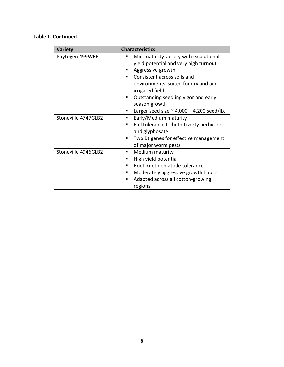### **Table 1. Continued**

| <b>Variety</b>      | <b>Characteristics</b>                                                                                                                                                                                                                                                                                       |
|---------------------|--------------------------------------------------------------------------------------------------------------------------------------------------------------------------------------------------------------------------------------------------------------------------------------------------------------|
| Phytogen 499WRF     | Mid-maturity variety with exceptional<br>yield potential and very high turnout<br>Aggressive growth<br>Consistent across soils and<br>environments, suited for dryland and<br>irrigated fields<br>Outstanding seedling vigor and early<br>season growth<br>Larger seed size $\approx$ 4,000 - 4,200 seed/lb. |
| Stoneville 4747GLB2 | Early/Medium maturity<br>Full tolerance to both Liverty herbicide<br>and glyphosate<br>Two Bt genes for effective management<br>٠<br>of major worm pests                                                                                                                                                     |
| Stoneville 4946GLB2 | Medium maturity<br>п<br>High yield potential<br>Root-knot nematode tolerance<br>Moderately aggressive growth habits<br>Adapted across all cotton-growing<br>regions                                                                                                                                          |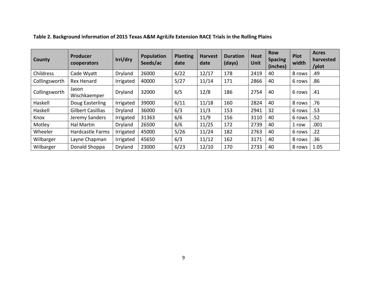| County        | <b>Producer</b><br>cooperators | Irri/dry  | <b>Population</b><br>Seeds/ac | <b>Planting</b><br>date | <b>Harvest</b><br>date | <b>Duration</b><br>(days) | <b>Heat</b><br><b>Unit</b> | <b>Row</b><br><b>Spacing</b><br>(inches) | Plot<br>width | <b>Acres</b><br>harvested<br>/plot |
|---------------|--------------------------------|-----------|-------------------------------|-------------------------|------------------------|---------------------------|----------------------------|------------------------------------------|---------------|------------------------------------|
| Childress     | Cade Wyatt                     | Dryland   | 26000                         | 6/22                    | 12/17                  | 178                       | 2419                       | 40                                       | 8 rows        | .49                                |
| Collingsworth | <b>Rex Henard</b>              | Irrigated | 40000                         | 5/27                    | 11/14                  | 171                       | 2866                       | 40                                       | 6 rows        | .86                                |
| Collingsworth | Jason<br>Wischkaemper          | Dryland   | 32000                         | 6/5                     | 12/8                   | 186                       | 2754                       | 40                                       | 6 rows        | .41                                |
| Haskell       | Doug Easterling                | Irrigated | 39000                         | 6/11                    | 11/18                  | 160                       | 2824                       | 40                                       | 8 rows        | .76                                |
| Haskell       | <b>Gilbert Casillias</b>       | Dryland   | 36000                         | 6/3                     | 11/3                   | 153                       | 2941                       | 32                                       | 6 rows        | .53                                |
| Knox          | Jeremy Sanders                 | Irrigated | 31363                         | 6/6                     | 11/9                   | 156                       | 3110                       | 40                                       | 6 rows        | .52                                |
| Motley        | <b>Hal Martin</b>              | Dryland   | 26500                         | 6/6                     | 11/25                  | 172                       | 2739                       | 40                                       | 1 row         | .001                               |
| Wheeler       | Hardcastle Farms               | Irrigated | 45000                         | 5/26                    | 11/24                  | 182                       | 2763                       | 40                                       | 6 rows        | .22                                |
| Wilbarger     | Layne Chapman                  | Irrigated | 45650                         | 6/3                     | 11/12                  | 162                       | 3171                       | 40                                       | 8 rows        | .36                                |
| Wilbarger     | Donald Shoppa                  | Dryland   | 23000                         | 6/23                    | 12/10                  | 170                       | 2733                       | 40                                       | 8 rows        | 1.05                               |

# **Table 2. Background information of 2015 Texas A&M AgriLife Extension RACE Trials in the Rolling Plains**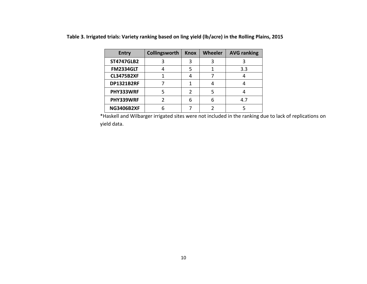| <b>Entry</b>      | Collingsworth | Knox | Wheeler | <b>AVG ranking</b> |
|-------------------|---------------|------|---------|--------------------|
| <b>ST4747GLB2</b> |               |      |         |                    |
| <b>FM2334GLT</b>  |               |      |         | 3.3                |
| <b>CL3475B2XF</b> |               |      |         |                    |
| <b>DP1321B2RF</b> |               |      |         |                    |
| PHY333WRF         |               |      |         |                    |
| PHY339WRF         |               | 6    |         | 4.7                |
| <b>NG3406B2XF</b> |               |      |         |                    |

**Table 3. Irrigated trials: Variety ranking based on ling yield (lb/acre) in the Rolling Plains, 2015**

\*Haskell and Wilbarger irrigated sites were not included in the ranking due to lack of replications on yield data.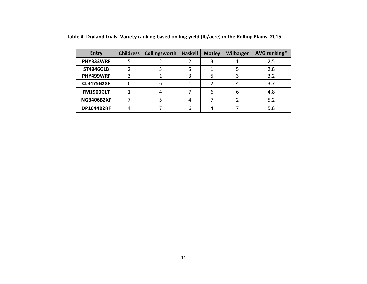| <b>Entry</b>      | <b>Childress</b> | Collingsworth | <b>Haskell</b> | <b>Motley</b> | <b>Wilbarger</b> | AVG ranking* |
|-------------------|------------------|---------------|----------------|---------------|------------------|--------------|
| PHY333WRF         |                  |               |                |               |                  | 2.5          |
| <b>ST4946GLB</b>  |                  |               |                |               |                  | 2.8          |
| PHY499WRF         | ੨                |               |                |               |                  | 3.2          |
| <b>CL3475B2XF</b> | 6                |               |                |               |                  | 3.7          |
| <b>FM1900GLT</b>  |                  |               |                | 6             | 6                | 4.8          |
| <b>NG3406B2XF</b> |                  |               |                |               |                  | 5.2          |
| <b>DP1044B2RF</b> | 4                |               |                |               |                  | 5.8          |

**Table 4. Dryland trials: Variety ranking based on ling yield (lb/acre) in the Rolling Plains, 2015**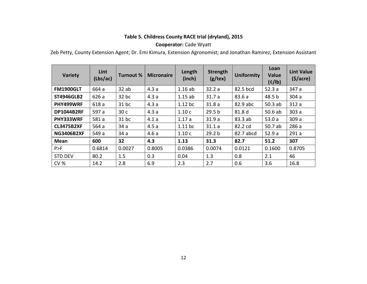# **Table 5. Childress County RACE trial (dryland), 2015**

#### **Cooperator:** Cade Wyatt

Zeb Petty, County Extension Agent; Dr. Emi Kimura, Extension Agronomist; and Jonathan Ramirez, Extension Assistant

| Variety           | Lint<br>(Lbs/ac) | Turnout % | <b>Micronaire</b> | Length<br>(inch) | <b>Strength</b><br>(g/text) | <b>Uniformity</b> | Loan<br><b>Value</b><br>(c/lb) | <b>Lint Value</b><br>$(\frac{1}{2})accre)$ |
|-------------------|------------------|-----------|-------------------|------------------|-----------------------------|-------------------|--------------------------------|--------------------------------------------|
| <b>FM1900GLT</b>  | 664 a            | $32$ ab   | 4.3a              | 1.16ab           | 32.2a                       | 82.5 bcd          | 52.3a                          | 347 a                                      |
| <b>ST4946GLB2</b> | 626 a            | 32 bc     | 4.3a              | 1.15ab           | 31.7a                       | 83.6 a            | 48.5 b                         | 304a                                       |
| PHY499WRF         | 618 a            | 31 bc     | 4.3a              | $1.12$ bc        | 31.8a                       | 82.9 abc          | 50.3ab                         | 312a                                       |
| <b>DP1044B2RF</b> | 597 a            | 30c       | 4.3a              | 1.10c            | 29.5 <sub>b</sub>           | 81.8 d            | 50.6ab                         | 303a                                       |
| PHY333WRF         | 581 a            | $31$ bc   | 4.1a              | 1.17a            | 31.9a                       | 83.3 ab           | 53.0a                          | 309 a                                      |
| <b>CL3475B2XF</b> | 564 a            | 34a       | 4.5a              | $1.11$ bc        | 31.1a                       | 82.2 cd           | 50.7 ab                        | 286 a                                      |
| <b>NG3406B2XF</b> | 549 a            | 34a       | 4.6a              | 1.10c            | 29.2 <sub>b</sub>           | 82.7 abcd         | 52.9a                          | 291a                                       |
| <b>Mean</b>       | 600              | 32        | 4.3               | 1.13             | 31.3                        | 82.7              | 51.2                           | 307                                        |
| P>F               | 0.6814           | 0.0027    | 0.8005            | 0.0386           | 0.0074                      | 0.0121            | 0.1600                         | 0.8705                                     |
| <b>STD DEV</b>    | 80.2             | 1.5       | 0.3               | 0.04             | 1.3                         | 0.8               | 2.1                            | 46                                         |
| <b>CV %</b>       | 14.2             | 2.8       | 6.9               | 2.3              | 2.7                         | 0.6               | 3.6                            | 16.8                                       |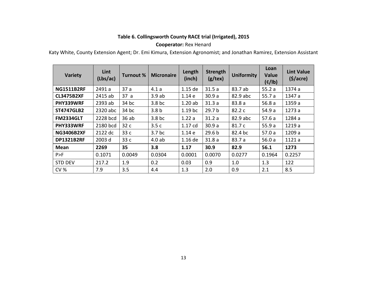#### **Table 6. Collingsworth County RACE trial (Irrigated), 2015**

#### **Cooperator:** Rex Henard

Katy White, County Extension Agent; Dr. Emi Kimura, Extension Agronomist; and Jonathan Ramirez, Extension Assistant

| <b>Variety</b>    | Lint<br>(Lbs/ac) | <b>Turnout %</b> | <b>Micronaire</b> | Length<br>(inch)   | <b>Strength</b><br>$(g/\text{tex})$ | <b>Uniformity</b> | Loan<br>Value<br>(c/lb) | <b>Lint Value</b><br>$(\frac{1}{2})accre)$ |
|-------------------|------------------|------------------|-------------------|--------------------|-------------------------------------|-------------------|-------------------------|--------------------------------------------|
| <b>NG1511B2RF</b> | 2491 a           | 37a              | 4.1a              | $1.15$ de          | 31.5a                               | 83.7 ab           | 55.2a                   | 1374 a                                     |
| <b>CL3475B2XF</b> | 2415 ab          | 37a              | 3.9ab             | 1.14e              | 30.9a                               | 82.9 abc          | 55.7a                   | 1347 a                                     |
| PHY339WRF         | 2393 ab          | 34 bc            | 3.8 <sub>bc</sub> | 1.20ab             | 31.3a                               | 83.8 a            | 56.8a                   | 1359 a                                     |
| <b>ST4747GLB2</b> | 2320 abc         | 34 bc            | 3.8 <sub>b</sub>  | 1.19 <sub>bc</sub> | 29.7 <sub>b</sub>                   | 82.2 c            | 54.9 a                  | 1273a                                      |
| <b>FM2334GLT</b>  | 2228 bcd         | 36ab             | 3.8 <sub>bc</sub> | 1.22a              | 31.2a                               | 82.9 abc          | 57.6a                   | 1284 a                                     |
| PHY333WRF         | 2180 bcd         | 32c              | 3.5c              | 1.17 cd            | 30.9a                               | 81.7 c            | 55.9a                   | 1219 a                                     |
| <b>NG3406B2XF</b> | 2122 dc          | 33 c             | 3.7 <sub>bc</sub> | 1.14 e             | 29.6 <sub>b</sub>                   | 82.4 bc           | 57.0a                   | 1209 a                                     |
| <b>DP1321B2RF</b> | 2003 d           | 33c              | 4.0ab             | 1.16 de            | 31.8a                               | 83.7 a            | 56.0a                   | 1121 a                                     |
| Mean              | 2269             | 35               | 3.8               | 1.17               | 30.9                                | 82.9              | 56.1                    | 1273                                       |
| P>F               | 0.1071           | 0.0049           | 0.0304            | 0.0001             | 0.0070                              | 0.0277            | 0.1964                  | 0.2257                                     |
| <b>STD DEV</b>    | 217.2            | 1.9              | 0.2               | 0.03               | 0.9                                 | 1.0               | 1.3                     | 122                                        |
| <b>CV %</b>       | 7.9              | 3.5              | 4.4               | 1.3                | 2.0                                 | 0.9               | 2.1                     | 8.5                                        |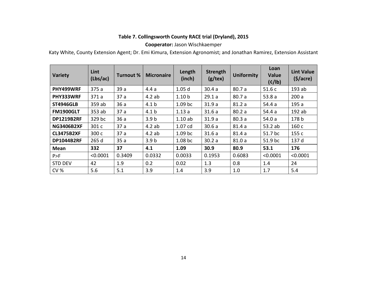#### **Table 7. Collingsworth County RACE trial (Dryland), 2015**

#### **Cooperator:** Jason Wischkaemper

Katy White, County Extension Agent; Dr. Emi Kimura, Extension Agronomist; and Jonathan Ramirez, Extension Assistant

| <b>Variety</b>    | Lint<br>(Lbs/ac) | <b>Turnout %</b> | <b>Micronaire</b> | Length<br>(inch)   | <b>Strength</b><br>(g/text) | <b>Uniformity</b> | Loan<br>Value<br>(c/lb) | <b>Lint Value</b><br>$(\frac{1}{2})$ |
|-------------------|------------------|------------------|-------------------|--------------------|-----------------------------|-------------------|-------------------------|--------------------------------------|
| PHY499WRF         | 375 a            | 39 a             | 4.4a              | 1.05 <sub>d</sub>  | 30.4a                       | 80.7a             | 51.6c                   | $193$ ab                             |
| PHY333WRF         | 371a             | 37a              | 4.2ab             | 1.10 <sub>b</sub>  | 29.1a                       | 80.7a             | 53.8a                   | 200a                                 |
| <b>ST4946GLB</b>  | 359 ab           | 36a              | 4.1 <sub>b</sub>  | 1.09 <sub>bc</sub> | 31.9a                       | 81.2a             | 54.4a                   | 195a                                 |
| <b>FM1900GLT</b>  | 353 ab           | 37a              | 4.1 <sub>b</sub>  | 1.13a              | 31.6a                       | 80.2a             | 54.4a                   | 192 ab                               |
| <b>DP1219B2RF</b> | 329 bc           | 36a              | 3.9 <sub>b</sub>  | 1.10ab             | 31.9a                       | 80.3a             | 54.0a                   | 178 b                                |
| <b>NG3406B2XF</b> | 301 c            | 37a              | 4.2ab             | 1.07 cd            | 30.6a                       | 81.4a             | 53.2 ab                 | 160 с                                |
| <b>CL3475B2XF</b> | 300 с            | 37a              | 4.2ab             | 1.09 <sub>bc</sub> | 31.6a                       | 81.4a             | 51.7 bc                 | 155 c                                |
| <b>DP1044B2RF</b> | 265 d            | 35a              | 3.9 <sub>b</sub>  | 1.08 <sub>bc</sub> | 30.2a                       | 81.0a             | 51.9 bc                 | 137 d                                |
| Mean              | 332              | 37               | 4.1               | 1.09               | 30.9                        | 80.9              | 53.1                    | 176                                  |
| P>F               | < 0.0001         | 0.3409           | 0.0332            | 0.0033             | 0.1953                      | 0.6083            | < 0.0001                | < 0.0001                             |
| <b>STD DEV</b>    | 42               | 1.9              | 0.2               | 0.02               | 1.3                         | 0.8               | 1.4                     | 24                                   |
| <b>CV %</b>       | 5.6              | 5.1              | 3.9               | 1.4                | 3.9                         | 1.0               | 1.7                     | 5.4                                  |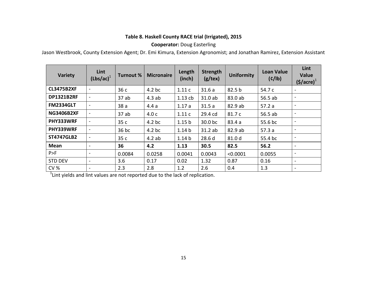#### **Table 8. Haskell County RACE trial (Irrigated), 2015**

#### **Cooperator:** Doug Easterling

Jason Westbrook, County Extension Agent; Dr. Emi Kimura, Extension Agronomist; and Jonathan Ramirez, Extension Assistant

| <b>Variety</b>    | Lint<br>$(Lbs/ac)^{1}$   | <b>Turnout %</b> | <b>Micronaire</b> | Length<br>(inch)  | Strength<br>(g/text) | <b>Uniformity</b> | <b>Loan Value</b><br>(c/lb) | Lint<br><b>Value</b><br>$(§/\text{acre})^{\text{T}}$ |
|-------------------|--------------------------|------------------|-------------------|-------------------|----------------------|-------------------|-----------------------------|------------------------------------------------------|
| <b>CL3475B2XF</b> | ۰.                       | 36c              | $4.2$ bc          | 1.11c             | 31.6a                | 82.5 <sub>b</sub> | 54.7 c                      | $\overline{\phantom{a}}$                             |
| <b>DP1321B2RF</b> |                          | 37ab             | 4.3ab             | 1.13cb            | 31.0 ab              | 83.0 ab           | 56.5 ab                     | $\overline{\phantom{a}}$                             |
| <b>FM2334GLT</b>  | $\blacksquare$           | 38a              | 4.4a              | 1.17a             | 31.5a                | 82.9 ab           | 57.2a                       | $\overline{\phantom{a}}$                             |
| <b>NG3406B2XF</b> | $\overline{\phantom{a}}$ | 37ab             | 4.0c              | 1.11c             | 29.4 cd              | 81.7 c            | 56.5 ab                     | $\overline{\phantom{a}}$                             |
| PHY333WRF         |                          | 35 c             | $4.2$ bc          | 1.15 <sub>b</sub> | 30.0 bc              | 83.4a             | 55.6 bc                     | $\sim$                                               |
| PHY339WRF         | $\overline{\phantom{a}}$ | $36$ bc          | 4.2 <sub>bc</sub> | 1.14 <sub>b</sub> | 31.2ab               | 82.9 ab           | 57.3a                       | $\sim$                                               |
| <b>ST4747GLB2</b> | ۰.                       | 35 c             | 4.2ab             | 1.14 <sub>b</sub> | 28.6d                | 81.0 d            | 55.4 bc                     |                                                      |
| Mean              |                          | 36               | 4.2               | 1.13              | 30.5                 | 82.5              | 56.2                        |                                                      |
| P>F               |                          | 0.0084           | 0.0258            | 0.0041            | 0.0043               | < 0.0001          | 0.0055                      | $\overline{\phantom{a}}$                             |
| <b>STD DEV</b>    | $\sim$                   | 3.6              | 0.17              | 0.02              | 1.32                 | 0.87              | 0.16                        | $\sim$                                               |
| <b>CV %</b>       |                          | 2.3              | 2.8               | 1.2               | 2.6                  | 0.4               | 1.3                         | $\overline{\phantom{0}}$                             |

 $1$ Lint yields and lint values are not reported due to the lack of replication.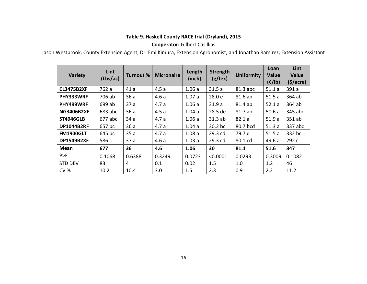#### **Table 9. Haskell County RACE trial (Dryland), 2015**

#### **Cooperator:** Gilbert Casillias

Jason Westbrook, County Extension Agent; Dr. Emi Kimura, Extension Agronomist; and Jonathan Ramirez, Extension Assistant

| <b>Variety</b>    | Lint<br>(Lbs/ac) | Turnout % | <b>Micronaire</b> | Length<br>(inch) | <b>Strength</b><br>(g/text) | <b>Uniformity</b> | Loan<br>Value<br>(c/lb) | Lint<br><b>Value</b><br>$(\frac{1}{2})$ |
|-------------------|------------------|-----------|-------------------|------------------|-----------------------------|-------------------|-------------------------|-----------------------------------------|
| <b>CL3475B2XF</b> | 762 a            | 41a       | 4.5a              | 1.06a            | 31.5a                       | 81.3 abc          | 51.1a                   | 391 a                                   |
| PHY333WRF         | 706 ab           | 36a       | 4.6a              | 1.07a            | 28.0 e                      | 81.6 ab           | 51.5a                   | 364 ab                                  |
| PHY499WRF         | 699 ab           | 37a       | 4.7a              | 1.06a            | 31.9a                       | 81.4 ab           | 52.1a                   | 364 ab                                  |
| <b>NG3406B2XF</b> | 683 abc          | 36a       | 4.5a              | 1.04a            | 28.5 de                     | 81.7 ab           | 50.6a                   | 345 abc                                 |
| <b>ST4946GLB</b>  | 677 abc          | 34a       | 4.7a              | 1.06a            | 31.3ab                      | 82.1a             | 51.9a                   | 351 ab                                  |
| <b>DP1044B2RF</b> | 657 bc           | 36a       | 4.7a              | 1.04a            | 30.2 bc                     | 80.7 bcd          | 51.3a                   | 337 abc                                 |
| <b>FM1900GLT</b>  | 645 bc           | 35a       | 4.7a              | 1.08a            | 29.3 cd                     | 79.7 d            | 51.5a                   | 332 bc                                  |
| <b>DP1549B2XF</b> | 586 c            | 37a       | 4.6a              | 1.03a            | 29.3 cd                     | 80.1 cd           | 49.6a                   | 292 с                                   |
| Mean              | 677              | 36        | 4.6               | 1.06             | 30                          | 81.1              | 51.6                    | 347                                     |
| P>F               | 0.1068           | 0.6388    | 0.3249            | 0.0723           | < 0.0001                    | 0.0293            | 0.3009                  | 0.1082                                  |
| <b>STD DEV</b>    | 83               | 4         | 0.1               | 0.02             | 1.5                         | 1.0               | 1.2                     | 46                                      |
| <b>CV %</b>       | 10.2             | 10.4      | 3.0               | 1.5              | 2.3                         | 0.9               | 2.2                     | 11.2                                    |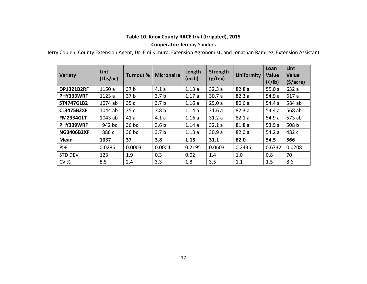#### **Table 10. Knox County RACE trial (Irrigated), 2015**

#### **Cooperator:** Jeremy Sanders

Jerry Coplen, County Extension Agent; Dr. Emi Kimura, Extension Agronomist; and Jonathan Ramirez, Extension Assistant

| <b>Variety</b>    | Lint<br>(Lbs/ac) | <b>Turnout %</b> | <b>Micronaire</b> | Length<br>(inch) | <b>Strength</b><br>(g/text) | <b>Uniformity</b> | Loan<br>Value<br>(c/lb) | Lint<br>Value<br>$(\frac{1}{2})accre)$ |
|-------------------|------------------|------------------|-------------------|------------------|-----------------------------|-------------------|-------------------------|----------------------------------------|
| <b>DP1321B2RF</b> | 1150 a           | 37 <sub>b</sub>  | 4.1a              | 1.13a            | 32.3a                       | 82.8a             | 55.0a                   | 632 a                                  |
| PHY333WRF         | 1123 a           | 37 <sub>b</sub>  | 3.7 <sub>b</sub>  | 1.17a            | 30.7a                       | 82.3a             | 54.9 a                  | 617 a                                  |
| <b>ST4747GLB2</b> | 1074 ab          | 35 c             | 3.7 <sub>b</sub>  | 1.16a            | 29.0a                       | 80.6a             | 54.4 a                  | 584 ab                                 |
| <b>CL3475B2XF</b> | 1044 ab          | 35 c             | 3.8 <sub>b</sub>  | 1.14a            | 31.6a                       | 82.3a             | 54.4 a                  | 568 ab                                 |
| <b>FM2334GLT</b>  | 1043 ab          | 41a              | 4.1a              | 1.16a            | 31.2a                       | 82.1a             | 54.9 a                  | 573 ab                                 |
| PHY339WRF         | 942 bc           | 36 bc            | 3.6 <sub>b</sub>  | 1.14a            | 32.1a                       | 81.8a             | 53.9a                   | 508 b                                  |
| <b>NG3406B2XF</b> | 886 c            | 36 bc            | 3.7 <sub>b</sub>  | 1.13a            | 30.9a                       | 82.0a             | 54.2 a                  | 482 c                                  |
| <b>Mean</b>       | 1037             | 37               | 3.8               | 1.15             | 31.1                        | 82.0              | 54.5                    | 566                                    |
| P>F               | 0.0286           | 0.0003           | 0.0004            | 0.2195           | 0.0603                      | 0.2436            | 0.6732                  | 0.0208                                 |
| <b>STD DEV</b>    | 123              | 1.9              | 0.3               | 0.02             | 1.4                         | 1.0               | 0.8                     | 70                                     |
| <b>CV %</b>       | 8.5              | 2.4              | 3.3               | 1.8              | 3.5                         | 1.1               | 1.5                     | 8.6                                    |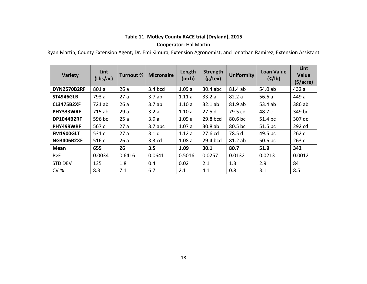#### **Table 11. Motley County RACE trial (Dryland), 2015**

#### **Cooperator:** Hal Martin

Ryan Martin, County Extension Agent; Dr. Emi Kimura, Extension Agronomist; and Jonathan Ramirez, Extension Assistant

| <b>Variety</b>    | Lint<br>(Lbs/ac) | <b>Turnout %</b> | <b>Micronaire</b> | Length<br>(inch) | <b>Strength</b><br>(g/text) | <b>Uniformity</b> | <b>Loan Value</b><br>(c/lb) | Lint<br><b>Value</b><br>$(\frac{1}{2})accre)$ |
|-------------------|------------------|------------------|-------------------|------------------|-----------------------------|-------------------|-----------------------------|-----------------------------------------------|
| DYN2570B2RF       | 801 a            | 26a              | 3.4 bcd           | 1.09a            | 30.4 abc                    | 81.4 ab           | 54.0 ab                     | 432 a                                         |
| <b>ST4946GLB</b>  | 793 a            | 27a              | 3.7ab             | 1.11a            | 33.2a                       | 82.2a             | 56.6a                       | 449 a                                         |
| <b>CL3475B2XF</b> | 721 ab           | 26a              | 3.7ab             | 1.10a            | 32.1ab                      | 81.9 ab           | 53.4 ab                     | 386 ab                                        |
| PHY333WRF         | 715 ab           | 29a              | 3.2a              | 1.10a            | 27.5d                       | 79.5 cd           | 48.7 c                      | 349 bc                                        |
| <b>DP1044B2RF</b> | 596 bc           | 25a              | 3.9a              | 1.09a            | 29.8 bcd                    | 80.6 bc           | 51.4 bc                     | 307 dc                                        |
| PHY499WRF         | 567 c            | 27a              | $3.7$ abc         | 1.07a            | 30.8 ab                     | 80.5 bc           | 51.5 bc                     | 292 cd                                        |
| <b>FM1900GLT</b>  | 531 c            | 27a              | 3.1 <sub>d</sub>  | 1.12a            | 27.6 cd                     | 78.5 d            | 49.5 bc                     | 262 d                                         |
| <b>NG3406B2XF</b> | 516 c            | 26a              | 3.3 cd            | 1.08a            | 29.4 bcd                    | 81.2 ab           | 50.6 bc                     | 263 d                                         |
| Mean              | 655              | 26               | 3.5               | 1.09             | 30.1                        | 80.7              | 51.9                        | 342                                           |
| P>F               | 0.0034           | 0.6416           | 0.0641            | 0.5016           | 0.0257                      | 0.0132            | 0.0213                      | 0.0012                                        |
| STD DEV           | 135              | 1.8              | 0.4               | 0.02             | 2.1                         | 1.3               | 2.9                         | 84                                            |
| <b>CV %</b>       | 8.3              | 7.1              | 6.7               | 2.1              | 4.1                         | 0.8               | 3.1                         | 8.5                                           |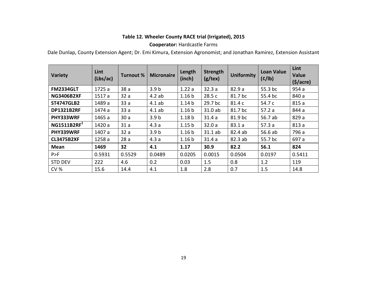#### **Table 12. Wheeler County RACE trial (Irrigated), 2015**

#### **Cooperator:** Hardcastle Farms

Dale Dunlap, County Extension Agent; Dr. Emi Kimura, Extension Agronomist; and Jonathan Ramirez, Extension Assistant

| <b>Variety</b>          | Lint<br>(Lbs/ac) | <b>Turnout %</b> | <b>Micronaire</b> | Length<br>(inch)  | <b>Strength</b><br>(g/text) | <b>Uniformity</b> | <b>Loan Value</b><br>(c/lb) | Lint<br><b>Value</b><br>$(\frac{1}{2})accre$ |
|-------------------------|------------------|------------------|-------------------|-------------------|-----------------------------|-------------------|-----------------------------|----------------------------------------------|
| <b>FM2334GLT</b>        | 1725 a           | 38a              | 3.9 <sub>b</sub>  | 1.22a             | 32.3a                       | 82.9a             | 55.3 bc                     | 954 a                                        |
| <b>NG3406B2XF</b>       | 1517a            | 32a              | 4.2ab             | 1.16 <sub>b</sub> | 28.5 c                      | 81.7 bc           | 55.4 bc                     | 840 a                                        |
| <b>ST4747GLB2</b>       | 1489 a           | 33a              | 4.1ab             | 1.14 <sub>b</sub> | 29.7 bc                     | 81.4 c            | 54.7 c                      | 815 a                                        |
| <b>DP1321B2RF</b>       | 1474 a           | 33a              | 4.1ab             | 1.16 <sub>b</sub> | 31.0 ab                     | 81.7 bc           | 57.2a                       | 844 a                                        |
| PHY333WRF               | 1465 a           | 30a              | 3.9 <sub>b</sub>  | 1.18 <sub>b</sub> | 31.4a                       | 81.9 bc           | 56.7 ab                     | 829 a                                        |
| NG1511B2RF <sup>1</sup> | 1420 a           | 31a              | 4.3a              | 1.15 <sub>b</sub> | 32.0a                       | 83.1a             | 57.3a                       | 813 a                                        |
| PHY339WRF               | 1407 a           | 32a              | 3.9 <sub>b</sub>  | 1.16 <sub>b</sub> | 31.1 ab                     | 82.4 ab           | 56.6 ab                     | 796 a                                        |
| <b>CL3475B2XF</b>       | 1258 a           | 28a              | 4.3a              | 1.16 <sub>b</sub> | 31.4a                       | 82.3 ab           | 55.7 bc                     | 697 a                                        |
| Mean                    | 1469             | 32               | 4.1               | 1.17              | 30.9                        | 82.2              | 56.1                        | 824                                          |
| P>F                     | 0.5931           | 0.5529           | 0.0489            | 0.0205            | 0.0015                      | 0.0504            | 0.0197                      | 0.5411                                       |
| <b>STD DEV</b>          | 222              | 4.6              | 0.2               | 0.03              | 1.5                         | 0.8               | 1.2                         | 119                                          |
| <b>CV %</b>             | 15.6             | 14.4             | 4.1               | 1.8               | 2.8                         | 0.7               | 1.5                         | 14.8                                         |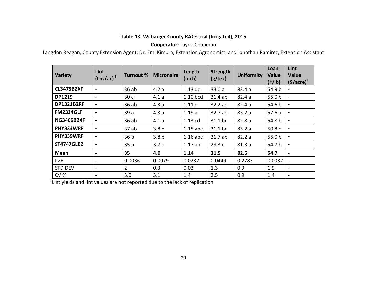#### **Table 13. Wilbarger County RACE trial (Irrigated), 2015**

#### **Cooperator:** Layne Chapman

Langdon Reagan, County Extension Agent; Dr. Emi Kimura, Extension Agronomist; and Jonathan Ramirez, Extension Assistant

| Variety           | Lint<br>$(Lbs/ac)^{1}$   | <b>Turnout %</b> | <b>Micronaire</b> | Length<br>(inch) | Strength<br>(g/text) | <b>Uniformity</b> | Loan<br>Value<br>(c/lb) | Lint<br>Value<br>$(\frac{1}{2})arcce)1$ |
|-------------------|--------------------------|------------------|-------------------|------------------|----------------------|-------------------|-------------------------|-----------------------------------------|
| <b>CL3475B2XF</b> | $\blacksquare$           | 36ab             | 4.2a              | $1.13$ dc        | 33.0a                | 83.4 a            | 54.9 b                  | $\blacksquare$                          |
| <b>DP1219</b>     | $\sim$                   | 30 c             | 4.1a              | 1.10 bcd         | 31.4 ab              | 82.4a             | 55.0 <sub>b</sub>       | $\blacksquare$                          |
| <b>DP1321B2RF</b> | $\blacksquare$           | 36 ab            | 4.3a              | 1.11d            | 32.2 ab              | 82.4a             | 54.6 b                  | $\blacksquare$                          |
| <b>FM2334GLT</b>  | $\blacksquare$           | 39a              | 4.3a              | 1.19a            | 32.7 ab              | 83.2 a            | 57.6a                   | $\blacksquare$                          |
| <b>NG3406B2XF</b> | $\blacksquare$           | 36 ab            | 4.1a              | 1.13 cd          | 31.1 bc              | 82.8 a            | 54.8 b                  | $\blacksquare$                          |
| PHY333WRF         | $\blacksquare$           | 37ab             | 3.8 <sub>b</sub>  | $1.15$ abc       | 31.1 bc              | 83.2 a            | 50.8c                   | $\blacksquare$                          |
| PHY339WRF         | $\blacksquare$           | 36 <sub>b</sub>  | 3.8 <sub>b</sub>  | $1.16$ abc       | 31.7 ab              | 82.2a             | 55.0 <sub>b</sub>       | $\blacksquare$                          |
| <b>ST4747GLB2</b> | $\blacksquare$           | 35 <sub>b</sub>  | 3.7 <sub>b</sub>  | 1.17ab           | 29.3 c               | 81.3a             | 54.7 b                  | $\blacksquare$                          |
| <b>Mean</b>       | $\blacksquare$           | 35               | 4.0               | 1.14             | 31.5                 | 82.6              | 54.7                    | $\blacksquare$                          |
| P>F               | $\sim$                   | 0.0036           | 0.0079            | 0.0232           | 0.0449               | 0.2783            | 0.0032                  | $\blacksquare$                          |
| <b>STD DEV</b>    | $\sim$                   | $\overline{2}$   | 0.3               | 0.03             | 1.3                  | 0.9               | 1.9                     | $\overline{\phantom{a}}$                |
| <b>CV %</b>       | $\overline{\phantom{a}}$ | 3.0              | 3.1               | 1.4              | 2.5                  | 0.9               | 1.4                     | $\overline{\phantom{a}}$                |

 $1$ Lint yields and lint values are not reported due to the lack of replication.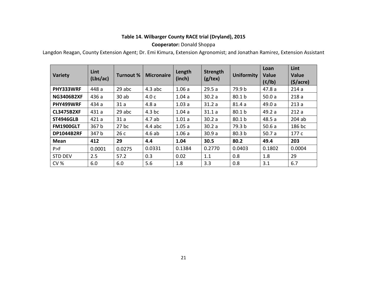#### **Table 14. Wilbarger County RACE trial (Dryland), 2015**

#### **Cooperator:** Donald Shoppa

Langdon Reagan, County Extension Agent; Dr. Emi Kimura, Extension Agronomist; and Jonathan Ramirez, Extension Assistant

| <b>Variety</b>    | Lint<br>(Lbs/ac) | <b>Turnout %</b> | <b>Micronaire</b> | Length<br>(inch) | Strength<br>$(g$ /tex) | <b>Uniformity</b> | Loan<br>Value<br>(c/lb) | Lint<br>Value<br>$(\frac{1}{2})accre)$ |
|-------------------|------------------|------------------|-------------------|------------------|------------------------|-------------------|-------------------------|----------------------------------------|
| PHY333WRF         | 448 a            | 29 abc           | $4.3$ abc         | 1.06a            | 29.5a                  | 79.9 b            | 47.8a                   | 214a                                   |
| <b>NG3406B2XF</b> | 436 a            | 30ab             | 4.0c              | 1.04a            | 30.2a                  | 80.1 b            | 50.0a                   | 218a                                   |
| PHY499WRF         | 434 a            | 31a              | 4.8a              | 1.03a            | 31.2a                  | 81.4a             | 49.0a                   | 213a                                   |
| <b>CL3475B2XF</b> | 431 a            | 29 abc           | $4.3$ bc          | 1.04a            | 31.1a                  | 80.1 b            | 49.2 a                  | 212a                                   |
| <b>ST4946GLB</b>  | 421a             | 31a              | 4.7ab             | 1.01a            | 30.2a                  | 80.1 b            | 48.5a                   | $204$ ab                               |
| <b>FM1900GLT</b>  | 367 b            | $27$ bc          | $4.4$ abc         | 1.05a            | 30.2a                  | 79.3 b            | 50.6a                   | 186 bc                                 |
| <b>DP1044B2RF</b> | 347 b            | 26c              | 4.6ab             | 1.06a            | 30.9a                  | 80.3 <sub>b</sub> | 50.7a                   | 177c                                   |
| <b>Mean</b>       | 412              | 29               | 4.4               | 1.04             | 30.5                   | 80.2              | 49.4                    | 203                                    |
| P>F               | 0.0001           | 0.0275           | 0.0331            | 0.1384           | 0.2770                 | 0.0403            | 0.1802                  | 0.0004                                 |
| <b>STD DEV</b>    | 2.5              | 57.2             | 0.3               | 0.02             | 1.1                    | 0.8               | 1.8                     | 29                                     |
| <b>CV %</b>       | 6.0              | 6.0              | 5.6               | 1.8              | 3.3                    | 0.8               | 3.1                     | 6.7                                    |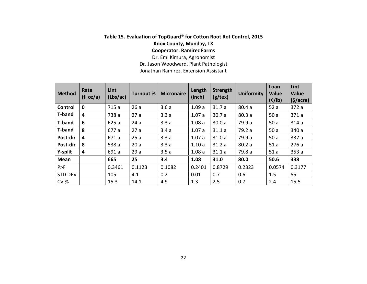### **Table 15. Evaluation of TopGuard**® **for Cotton Root Rot Control, 2015 Knox County, Munday, TX Cooperator: Ramirez Farms**

Dr. Emi Kimura, Agronomist Dr. Jason Woodward, Plant Pathologist Jonathan Ramirez, Extension Assistant

| <b>Method</b>  | Rate<br>(f <sub>l</sub> oz/a) | Lint<br>(Lbs/ac) | <b>Turnout %</b> | <b>Micronaire</b> | Length<br>(inch) | <b>Strength</b><br>(g/text) | <b>Uniformity</b> | Loan<br><b>Value</b><br>(c/lb) | Lint<br><b>Value</b><br>$(\frac{1}{2})accre)$ |
|----------------|-------------------------------|------------------|------------------|-------------------|------------------|-----------------------------|-------------------|--------------------------------|-----------------------------------------------|
| Control        | $\mathbf 0$                   | 715 a            | 26a              | 3.6a              | 1.09a            | 31.7a                       | 80.4a             | 52a                            | 372 a                                         |
| <b>T-band</b>  | 4                             | 738 a            | 27a              | 3.3a              | 1.07a            | 30.7a                       | 80.3a             | 50a                            | 371a                                          |
| <b>T-band</b>  | 6                             | 625 a            | 24a              | 3.3a              | 1.08a            | 30.0a                       | 79.9 a            | 50a                            | 314a                                          |
| <b>T-band</b>  | 8                             | 677 a            | 27a              | 3.4a              | 1.07a            | 31.1a                       | 79.2 a            | 50a                            | 340 a                                         |
| Post-dir       | 4                             | 671 a            | 25a              | 3.3a              | 1.07a            | 31.0a                       | 79.9 a            | 50a                            | 337 a                                         |
| Post-dir       | 8                             | 538 a            | 20a              | 3.3a              | 1.10a            | 31.2a                       | 80.2a             | 51a                            | 276a                                          |
| Y-split        | 4                             | 691 a            | 29a              | 3.5a              | 1.08a            | 31.1a                       | 79.8 a            | 51a                            | 353a                                          |
| <b>Mean</b>    |                               | 665              | 25               | 3.4               | 1.08             | 31.0                        | 80.0              | 50.6                           | 338                                           |
| P>F            |                               | 0.3461           | 0.1123           | 0.1082            | 0.2401           | 0.8729                      | 0.2323            | 0.0574                         | 0.3177                                        |
| <b>STD DEV</b> |                               | 105              | 4.1              | 0.2               | 0.01             | 0.7                         | 0.6               | 1.5                            | 55                                            |
| <b>CV %</b>    |                               | 15.3             | 14.1             | 4.9               | 1.3              | 2.5                         | 0.7               | 2.4                            | 15.5                                          |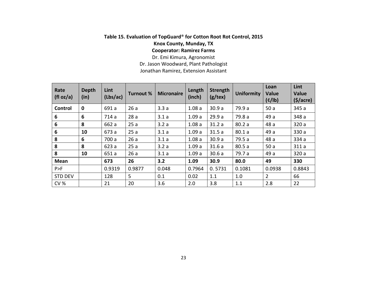## **Table 15. Evaluation of TopGuard**® **for Cotton Root Rot Control, 2015 Knox County, Munday, TX Cooperator: Ramirez Farms**

Dr. Emi Kimura, Agronomist Dr. Jason Woodward, Plant Pathologist Jonathan Ramirez, Extension Assistant

| Rate<br>(fI oz/a) | <b>Depth</b><br>(in) | Lint<br>(Lbs/ac) | <b>Turnout %</b> | <b>Micronaire</b> | Length<br>(inch) | Strength<br>$(g$ /tex) | <b>Uniformity</b> | Loan<br>Value<br>(c/lb) | Lint<br>Value<br>$(\frac{1}{2})$ |
|-------------------|----------------------|------------------|------------------|-------------------|------------------|------------------------|-------------------|-------------------------|----------------------------------|
| Control           | $\mathbf 0$          | 691 a            | 26a              | 3.3a              | 1.08a            | 30.9a                  | 79.9 a            | 50a                     | 345 a                            |
| 6                 | 6                    | 714 a            | 28a              | 3.1a              | 1.09a            | 29.9a                  | 79.8 a            | 49 a                    | 348 a                            |
| 6                 | 8                    | 662 a            | 25a              | 3.2a              | 1.08a            | 31.2a                  | 80.2a             | 48 a                    | 320 a                            |
| 6                 | 10                   | 673 a            | 25a              | 3.1a              | 1.09a            | 31.5a                  | 80.1a             | 49 a                    | 330 a                            |
| 8                 | 6                    | 700 a            | 26a              | 3.1a              | 1.08a            | 30.9a                  | 79.5 a            | 48 a                    | 334 a                            |
| 8                 | 8                    | 623 a            | 25a              | 3.2a              | 1.09a            | 31.6a                  | 80.5a             | 50a                     | 311a                             |
| 8                 | 10                   | 651 a            | 26a              | 3.1a              | 1.09a            | 30.6a                  | 79.7 a            | 49 a                    | 320 a                            |
| <b>Mean</b>       |                      | 673              | 26               | 3.2               | 1.09             | 30.9                   | 80.0              | 49                      | 330                              |
| P>F               |                      | 0.9319           | 0.9877           | 0.048             | 0.7964           | 0.5731                 | 0.1081            | 0.0938                  | 0.8843                           |
| <b>STD DEV</b>    |                      | 128              | 5                | 0.1               | 0.02             | 1.1                    | 1.0               | $\overline{2}$          | 66                               |
| <b>CV %</b>       |                      | 21               | 20               | 3.6               | 2.0              | 3.8                    | 1.1               | 2.8                     | 22                               |